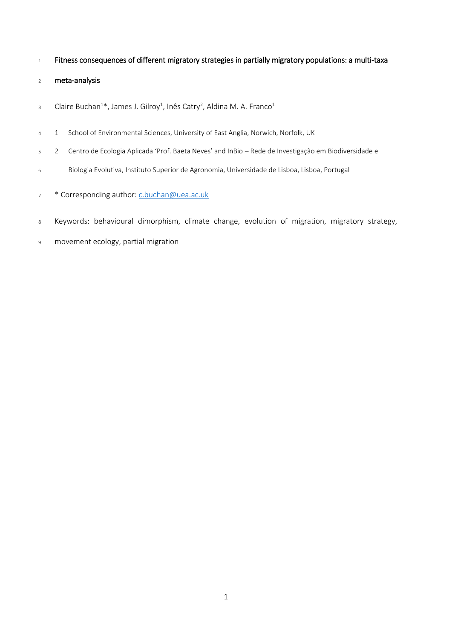- Fitness consequences of different migratory strategies in partially migratory populations: a multi-taxa
- meta-analysis
- Claire Buchan<sup>1\*</sup>, James J. Gilroy<sup>1</sup>, Inês Catry<sup>2</sup>, Aldina M. A. Franco<sup>1</sup>
- 1 School of Environmental Sciences, University of East Anglia, Norwich, Norfolk, UK
- 2 Centro de Ecologia Aplicada 'Prof. Baeta Neves' and InBio Rede de Investigação em Biodiversidade e
- Biologia Evolutiva, Instituto Superior de Agronomia, Universidade de Lisboa, Lisboa, Portugal
- \* Corresponding author[: c.buchan@uea.ac.uk](mailto:c.buchan@uea.ac.uk)
- Keywords: behavioural dimorphism, climate change, evolution of migration, migratory strategy,
- movement ecology, partial migration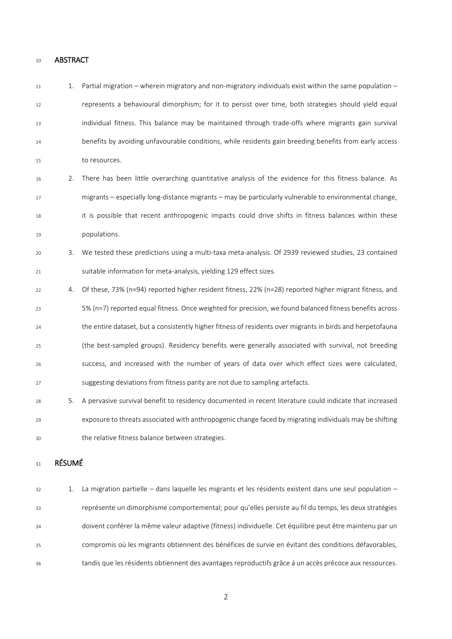## ABSTRACT

| 11 | 1.            | Partial migration – wherein migratory and non-migratory individuals exist within the same population –     |
|----|---------------|------------------------------------------------------------------------------------------------------------|
| 12 |               | represents a behavioural dimorphism; for it to persist over time, both strategies should yield equal       |
| 13 |               | individual fitness. This balance may be maintained through trade-offs where migrants gain survival         |
| 14 |               | benefits by avoiding unfavourable conditions, while residents gain breeding benefits from early access     |
| 15 |               | to resources.                                                                                              |
| 16 | 2.            | There has been little overarching quantitative analysis of the evidence for this fitness balance. As       |
| 17 |               | migrants - especially long-distance migrants - may be particularly vulnerable to environmental change,     |
| 18 |               | it is possible that recent anthropogenic impacts could drive shifts in fitness balances within these       |
| 19 |               | populations.                                                                                               |
| 20 | 3.            | We tested these predictions using a multi-taxa meta-analysis. Of 2939 reviewed studies, 23 contained       |
| 21 |               | suitable information for meta-analysis, yielding 129 effect sizes.                                         |
| 22 | 4.            | Of these, 73% (n=94) reported higher resident fitness, 22% (n=28) reported higher migrant fitness, and     |
| 23 |               | 5% (n=7) reported equal fitness. Once weighted for precision, we found balanced fitness benefits across    |
| 24 |               | the entire dataset, but a consistently higher fitness of residents over migrants in birds and herpetofauna |
| 25 |               | (the best-sampled groups). Residency benefits were generally associated with survival, not breeding        |
| 26 |               | success, and increased with the number of years of data over which effect sizes were calculated,           |
| 27 |               | suggesting deviations from fitness parity are not due to sampling artefacts.                               |
| 28 | 5.            | A pervasive survival benefit to residency documented in recent literature could indicate that increased    |
| 29 |               | exposure to threats associated with anthropogenic change faced by migrating individuals may be shifting    |
| 30 |               | the relative fitness balance between strategies.                                                           |
| 31 | <b>RÉSUMÉ</b> |                                                                                                            |
|    |               |                                                                                                            |
| 32 | 1.            | La migration partielle - dans laquelle les migrants et les résidents existent dans une seul population -   |

 représente un dimorphisme comportemental; pour qu'elles persiste au fil du temps, les deux stratégies doivent conférer la même valeur adaptive (fitness) individuelle. Cet équilibre peut être maintenu par un compromis où les migrants obtiennent des bénéfices de survie en évitant des conditions défavorables, tandis que les résidents obtiennent des avantages reproductifs grâce á un accès précoce aux ressources.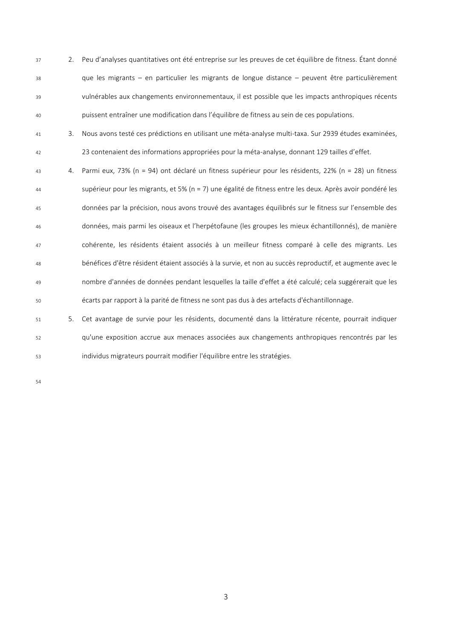2. Peu d'analyses quantitatives ont été entreprise sur les preuves de cet équilibre de fitness. Étant donné que les migrants – en particulier les migrants de longue distance – peuvent être particulièrement vulnérables aux changements environnementaux, il est possible que les impacts anthropiques récents puissent entraîner une modification dans l'équilibre de fitness au sein de ces populations.

- 3. Nous avons testé ces prédictions en utilisant une méta-analyse multi-taxa. Sur 2939 études examinées, 23 contenaient des informations appropriées pour la méta-analyse, donnant 129 tailles d'effet.
- 4. Parmi eux, 73% (n = 94) ont déclaré un fitness supérieur pour les résidents, 22% (n = 28) un fitness supérieur pour les migrants, et 5% (n = 7) une égalité de fitness entre les deux. Après avoir pondéré les données par la précision, nous avons trouvé des avantages équilibrés sur le fitness sur l'ensemble des données, mais parmi les oiseaux et l'herpétofaune (les groupes les mieux échantillonnés), de manière cohérente, les résidents étaient associés à un meilleur fitness comparé à celle des migrants. Les bénéfices d'être résident étaient associés à la survie, et non au succès reproductif, et augmente avec le nombre d'années de données pendant lesquelles la taille d'effet a été calculé; cela suggérerait que les écarts par rapport à la parité de fitness ne sont pas dus à des artefacts d'échantillonnage.
- 5. Cet avantage de survie pour les résidents, documenté dans la littérature récente, pourrait indiquer qu'une exposition accrue aux menaces associées aux changements anthropiques rencontrés par les individus migrateurs pourrait modifier l'équilibre entre les stratégies.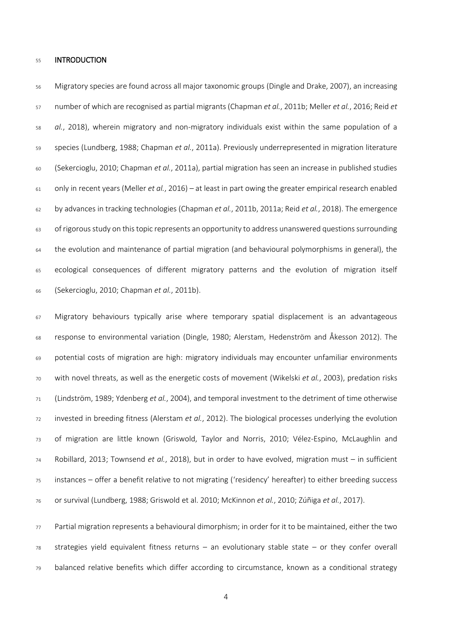### **INTRODUCTION**

 Migratory species are found across all major taxonomic groups (Dingle and Drake, 2007), an increasing number of which are recognised as partial migrants (Chapman *et al.*, 2011b; Meller *et al.*, 2016; Reid *et al.*, 2018), wherein migratory and non-migratory individuals exist within the same population of a species (Lundberg, 1988; Chapman *et al.*, 2011a). Previously underrepresented in migration literature (Sekercioglu, 2010; Chapman *et al.*, 2011a), partial migration has seen an increase in published studies only in recent years (Meller *et al.*, 2016) – at least in part owing the greater empirical research enabled by advances in tracking technologies (Chapman *et al.*, 2011b, 2011a; Reid *et al.*, 2018). The emergence 63 of rigorous study on this topic represents an opportunity to address unanswered questions surrounding the evolution and maintenance of partial migration (and behavioural polymorphisms in general), the ecological consequences of different migratory patterns and the evolution of migration itself (Sekercioglu, 2010; Chapman *et al.*, 2011b).

 Migratory behaviours typically arise where temporary spatial displacement is an advantageous response to environmental variation (Dingle, 1980; Alerstam, Hedenström and Åkesson 2012). The potential costs of migration are high: migratory individuals may encounter unfamiliar environments with novel threats, as well as the energetic costs of movement (Wikelski *et al.*, 2003), predation risks (Lindström, 1989; Ydenberg *et al.*, 2004), and temporal investment to the detriment of time otherwise invested in breeding fitness (Alerstam *et al.*, 2012). The biological processes underlying the evolution of migration are little known (Griswold, Taylor and Norris, 2010; Vélez-Espino, McLaughlin and Robillard, 2013; Townsend *et al.*, 2018), but in order to have evolved, migration must – in sufficient instances – offer a benefit relative to not migrating ('residency' hereafter) to either breeding success or survival (Lundberg, 1988; Griswold et al. 2010; McKinnon *et al.*, 2010; Zúñiga *et al.*, 2017).

77 Partial migration represents a behavioural dimorphism; in order for it to be maintained, either the two strategies yield equivalent fitness returns – an evolutionary stable state – or they confer overall balanced relative benefits which differ according to circumstance, known as a conditional strategy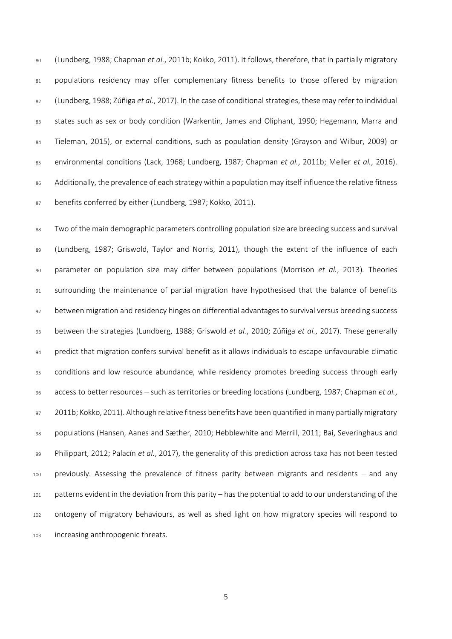(Lundberg, 1988; Chapman *et al.*, 2011b; Kokko, 2011). It follows, therefore, that in partially migratory populations residency may offer complementary fitness benefits to those offered by migration (Lundberg, 1988; Zúñiga *et al.*, 2017). In the case of conditional strategies, these may refer to individual states such as sex or body condition (Warkentin*,* James and Oliphant, 1990; Hegemann, Marra and Tieleman, 2015), or external conditions, such as population density (Grayson and Wilbur, 2009) or environmental conditions (Lack, 1968; Lundberg, 1987; Chapman *et al.*, 2011b; Meller *et al.*, 2016). 86 Additionally, the prevalence of each strategy within a population may itself influence the relative fitness benefits conferred by either (Lundberg, 1987; Kokko, 2011).

 Two of the main demographic parameters controlling population size are breeding success and survival (Lundberg, 1987; Griswold, Taylor and Norris, 2011)*,* though the extent of the influence of each parameter on population size may differ between populations (Morrison *et al.*, 2013)*.* Theories 91 surrounding the maintenance of partial migration have hypothesised that the balance of benefits between migration and residency hinges on differential advantages to survival versus breeding success between the strategies (Lundberg, 1988; Griswold *et al.*, 2010; Zúñiga *et al.*, 2017). These generally predict that migration confers survival benefit as it allows individuals to escape unfavourable climatic conditions and low resource abundance, while residency promotes breeding success through early access to better resources – such as territories or breeding locations (Lundberg, 1987; Chapman *et al.*, 2011b; Kokko, 2011). Although relative fitness benefits have been quantified in many partially migratory populations (Hansen, Aanes and Sæther, 2010; Hebblewhite and Merrill, 2011; Bai, Severinghaus and Philippart, 2012; Palacín *et al.*, 2017), the generality of this prediction across taxa has not been tested previously. Assessing the prevalence of fitness parity between migrants and residents – and any patterns evident in the deviation from this parity – has the potential to add to our understanding of the ontogeny of migratory behaviours, as well as shed light on how migratory species will respond to increasing anthropogenic threats.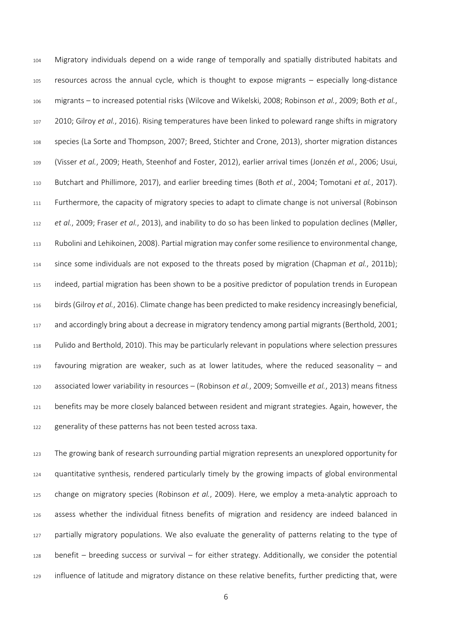Migratory individuals depend on a wide range of temporally and spatially distributed habitats and resources across the annual cycle, which is thought to expose migrants – especially long-distance migrants – to increased potential risks (Wilcove and Wikelski, 2008; Robinson *et al.*, 2009; Both *et al.*, 2010; Gilroy *et al.*, 2016). Rising temperatures have been linked to poleward range shifts in migratory species (La Sorte and Thompson, 2007; Breed, Stichter and Crone, 2013), shorter migration distances (Visser *et al.*, 2009; Heath, Steenhof and Foster, 2012), earlier arrival times (Jonzén *et al.*, 2006; Usui, Butchart and Phillimore, 2017), and earlier breeding times (Both *et al.*, 2004; Tomotani *et al.*, 2017). 111 Furthermore, the capacity of migratory species to adapt to climate change is not universal (Robinson *et al.*, 2009; Fraser *et al.*, 2013), and inability to do so has been linked to population declines (Møller, Rubolini and Lehikoinen, 2008). Partial migration may confer some resilience to environmental change, since some individuals are not exposed to the threats posed by migration (Chapman *et al.*, 2011b); indeed, partial migration has been shown to be a positive predictor of population trends in European birds(Gilroy *et al.*, 2016). Climate change has been predicted to make residency increasingly beneficial, and accordingly bring about a decrease in migratory tendency among partial migrants (Berthold, 2001; Pulido and Berthold, 2010). This may be particularly relevant in populations where selection pressures favouring migration are weaker, such as at lower latitudes, where the reduced seasonality – and associated lower variability in resources – (Robinson *et al.*, 2009; Somveille *et al.*, 2013) means fitness benefits may be more closely balanced between resident and migrant strategies. Again, however, the 122 generality of these patterns has not been tested across taxa.

 The growing bank of research surrounding partial migration represents an unexplored opportunity for quantitative synthesis, rendered particularly timely by the growing impacts of global environmental change on migratory species (Robinson *et al.*, 2009). Here, we employ a meta-analytic approach to assess whether the individual fitness benefits of migration and residency are indeed balanced in 127 partially migratory populations. We also evaluate the generality of patterns relating to the type of benefit – breeding success or survival – for either strategy. Additionally, we consider the potential influence of latitude and migratory distance on these relative benefits, further predicting that, were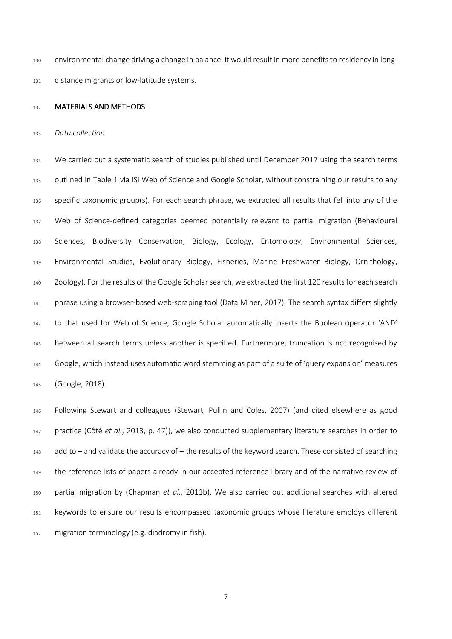environmental change driving a change in balance, it would result in more benefits to residency in long-distance migrants or low-latitude systems.

### 132 MATERIALS AND METHODS

*Data collection*

 We carried out a systematic search of studies published until December 2017 using the search terms outlined in Table 1 via ISI Web of Science and Google Scholar, without constraining our results to any specific taxonomic group(s). For each search phrase, we extracted all results that fell into any of the Web of Science-defined categories deemed potentially relevant to partial migration (Behavioural Sciences, Biodiversity Conservation, Biology, Ecology, Entomology, Environmental Sciences, Environmental Studies, Evolutionary Biology, Fisheries, Marine Freshwater Biology, Ornithology, Zoology). For the results of the Google Scholar search, we extracted the first 120 results for each search phrase using a browser-based web-scraping tool (Data Miner, 2017). The search syntax differs slightly to that used for Web of Science; Google Scholar automatically inserts the Boolean operator 'AND' between all search terms unless another is specified. Furthermore, truncation is not recognised by Google, which instead uses automatic word stemming as part of a suite of 'query expansion' measures (Google, 2018).

 Following Stewart and colleagues (Stewart, Pullin and Coles, 2007) (and cited elsewhere as good practice (Côté *et al.*, 2013, p. 47)), we also conducted supplementary literature searches in order to add to – and validate the accuracy of – the results of the keyword search. These consisted of searching the reference lists of papers already in our accepted reference library and of the narrative review of partial migration by (Chapman *et al.*, 2011b). We also carried out additional searches with altered keywords to ensure our results encompassed taxonomic groups whose literature employs different migration terminology (e.g. diadromy in fish).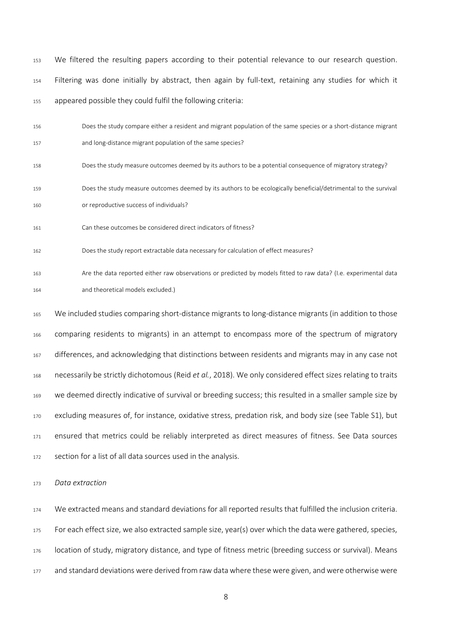- We filtered the resulting papers according to their potential relevance to our research question. Filtering was done initially by abstract, then again by full-text, retaining any studies for which it appeared possible they could fulfil the following criteria:
- Does the study compare either a resident and migrant population of the same species or a short-distance migrant and long-distance migrant population of the same species?
- Does the study measure outcomes deemed by its authors to be a potential consequence of migratory strategy?
- Does the study measure outcomes deemed by its authors to be ecologically beneficial/detrimental to the survival or reproductive success of individuals?
- Can these outcomes be considered direct indicators of fitness?
- Does the study report extractable data necessary for calculation of effect measures?
- Are the data reported either raw observations or predicted by models fitted to raw data? (I.e. experimental data and theoretical models excluded.)
- We included studies comparing short-distance migrants to long-distance migrants (in addition to those comparing residents to migrants) in an attempt to encompass more of the spectrum of migratory differences, and acknowledging that distinctions between residents and migrants may in any case not necessarily be strictly dichotomous (Reid *et al.*, 2018). We only considered effect sizes relating to traits we deemed directly indicative of survival or breeding success; this resulted in a smaller sample size by excluding measures of, for instance, oxidative stress, predation risk, and body size (see Table S1), but ensured that metrics could be reliably interpreted as direct measures of fitness. See Data sources 172 section for a list of all data sources used in the analysis.

*Data extraction*

 We extracted means and standard deviations for all reported results that fulfilled the inclusion criteria. For each effect size, we also extracted sample size, year(s) over which the data were gathered, species, location of study, migratory distance, and type of fitness metric (breeding success or survival). Means and standard deviations were derived from raw data where these were given, and were otherwise were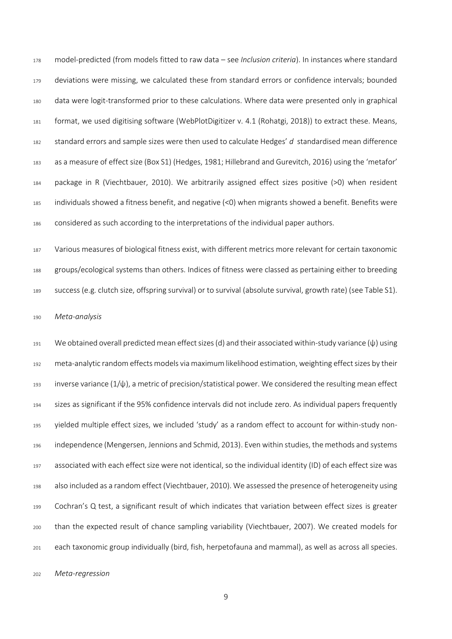model-predicted (from models fitted to raw data – see *Inclusion criteria*). In instances where standard deviations were missing, we calculated these from standard errors or confidence intervals; bounded data were logit-transformed prior to these calculations. Where data were presented only in graphical format, we used digitising software (WebPlotDigitizer v. 4.1 (Rohatgi, 2018)) to extract these. Means, standard errors and sample sizes were then used to calculate Hedges' *d* standardised mean difference as a measure of effect size (Box S1) (Hedges, 1981; Hillebrand and Gurevitch, 2016) using the 'metafor' package in R (Viechtbauer, 2010). We arbitrarily assigned effect sizes positive (>0) when resident individuals showed a fitness benefit, and negative (<0) when migrants showed a benefit. Benefits were considered as such according to the interpretations of the individual paper authors.

 Various measures of biological fitness exist, with different metrics more relevant for certain taxonomic groups/ecological systems than others. Indices of fitness were classed as pertaining either to breeding success (e.g. clutch size, offspring survival) or to survival (absolute survival, growth rate) (see Table S1).

*Meta-analysis*

 We obtained overall predicted mean effect sizes(d) and their associated within-study variance (ψ) using meta-analytic random effects models via maximum likelihood estimation, weighting effect sizes by their 193 inverse variance  $(1/\psi)$ , a metric of precision/statistical power. We considered the resulting mean effect sizes as significant if the 95% confidence intervals did not include zero. As individual papers frequently yielded multiple effect sizes, we included 'study' as a random effect to account for within-study non- independence (Mengersen, Jennions and Schmid, 2013). Even within studies, the methods and systems associated with each effect size were not identical, so the individual identity (ID) of each effect size was also included as a random effect (Viechtbauer, 2010). We assessed the presence of heterogeneity using Cochran's Q test, a significant result of which indicates that variation between effect sizes is greater than the expected result of chance sampling variability (Viechtbauer, 2007). We created models for each taxonomic group individually (bird, fish, herpetofauna and mammal), as well as across all species.

*Meta-regression*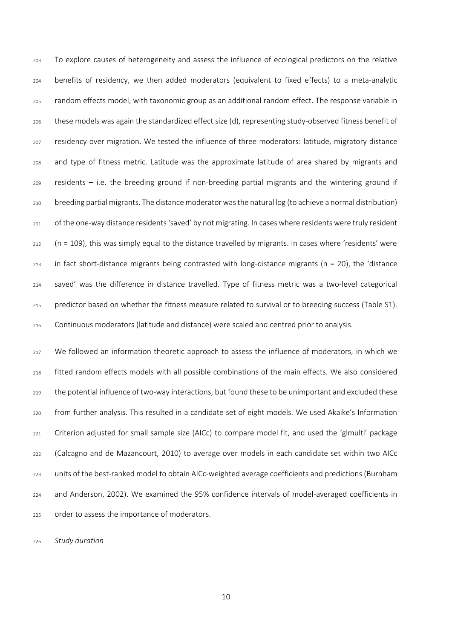To explore causes of heterogeneity and assess the influence of ecological predictors on the relative benefits of residency, we then added moderators (equivalent to fixed effects) to a meta-analytic random effects model, with taxonomic group as an additional random effect. The response variable in these models was again the standardized effect size (d), representing study-observed fitness benefit of residency over migration. We tested the influence of three moderators: latitude, migratory distance and type of fitness metric. Latitude was the approximate latitude of area shared by migrants and residents – i.e. the breeding ground if non-breeding partial migrants and the wintering ground if breeding partial migrants. The distance moderator was the natural log (to achieve a normal distribution) of the one-way distance residents 'saved' by not migrating. In cases where residents were truly resident (n = 109), this was simply equal to the distance travelled by migrants. In cases where 'residents' were in fact short-distance migrants being contrasted with long-distance migrants (n = 20), the 'distance saved' was the difference in distance travelled. Type of fitness metric was a two-level categorical predictor based on whether the fitness measure related to survival or to breeding success (Table S1). Continuous moderators (latitude and distance) were scaled and centred prior to analysis.

 We followed an information theoretic approach to assess the influence of moderators, in which we fitted random effects models with all possible combinations of the main effects. We also considered 219 the potential influence of two-way interactions, but found these to be unimportant and excluded these from further analysis. This resulted in a candidate set of eight models. We used Akaike's Information Criterion adjusted for small sample size (AICc) to compare model fit, and used the 'glmulti' package (Calcagno and de Mazancourt, 2010) to average over models in each candidate set within two AICc units of the best-ranked model to obtain AICc-weighted average coefficients and predictions (Burnham and Anderson, 2002). We examined the 95% confidence intervals of model-averaged coefficients in order to assess the importance of moderators.

*Study duration*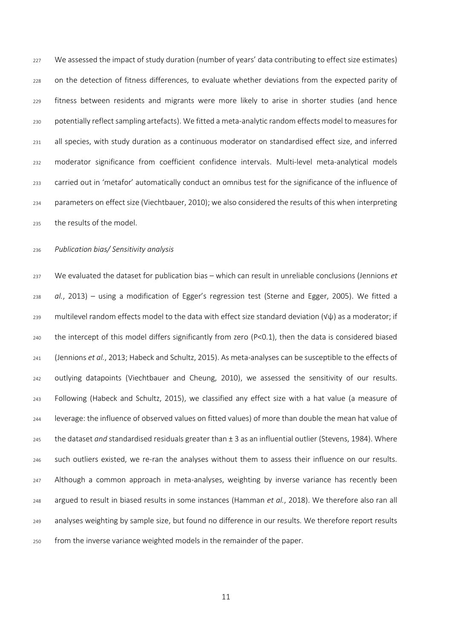We assessed the impact of study duration (number of years' data contributing to effect size estimates) on the detection of fitness differences, to evaluate whether deviations from the expected parity of fitness between residents and migrants were more likely to arise in shorter studies (and hence potentially reflect sampling artefacts). We fitted a meta-analytic random effects model to measures for all species, with study duration as a continuous moderator on standardised effect size, and inferred moderator significance from coefficient confidence intervals. Multi-level meta-analytical models carried out in 'metafor' automatically conduct an omnibus test for the significance of the influence of parameters on effect size (Viechtbauer, 2010); we also considered the results of this when interpreting the results of the model.

## *Publication bias/ Sensitivity analysis*

 We evaluated the dataset for publication bias – which can result in unreliable conclusions (Jennions *et al.*, 2013) – using a modification of Egger's regression test (Sterne and Egger, 2005). We fitted a multilevel random effects model to the data with effect size standard deviation (√ψ) as a moderator; if the intercept of this model differs significantly from zero (P<0.1), then the data is considered biased (Jennions *et al.*, 2013; Habeck and Schultz, 2015). As meta-analyses can be susceptible to the effects of outlying datapoints (Viechtbauer and Cheung, 2010), we assessed the sensitivity of our results. Following (Habeck and Schultz, 2015), we classified any effect size with a hat value (a measure of leverage: the influence of observed values on fitted values) of more than double the mean hat value of the dataset *and* standardised residuals greater than ± 3 as an influential outlier (Stevens, 1984). Where such outliers existed, we re-ran the analyses without them to assess their influence on our results. Although a common approach in meta-analyses, weighting by inverse variance has recently been argued to result in biased results in some instances (Hamman *et al.*, 2018). We therefore also ran all analyses weighting by sample size, but found no difference in our results. We therefore report results from the inverse variance weighted models in the remainder of the paper.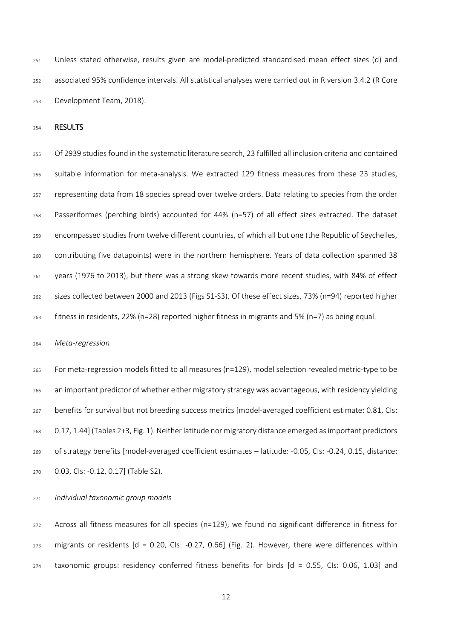Unless stated otherwise, results given are model-predicted standardised mean effect sizes (d) and associated 95% confidence intervals. All statistical analyses were carried out in R version 3.4.2 (R Core Development Team, 2018).

RESULTS

 Of 2939 studies found in the systematic literature search, 23 fulfilled all inclusion criteria and contained suitable information for meta-analysis. We extracted 129 fitness measures from these 23 studies, representing data from 18 species spread over twelve orders. Data relating to species from the order Passeriformes (perching birds) accounted for 44% (n=57) of all effect sizes extracted. The dataset encompassed studies from twelve different countries, of which all but one (the Republic of Seychelles, contributing five datapoints) were in the northern hemisphere. Years of data collection spanned 38 years (1976 to 2013), but there was a strong skew towards more recent studies, with 84% of effect sizes collected between 2000 and 2013 (Figs S1-S3). Of these effect sizes, 73% (n=94) reported higher fitness in residents, 22% (n=28) reported higher fitness in migrants and 5% (n=7) as being equal.

## *Meta-regression*

 For meta-regression models fitted to all measures (n=129), model selection revealed metric-type to be an important predictor of whether either migratory strategy was advantageous, with residency yielding benefits for survival but not breeding success metrics [model-averaged coefficient estimate: 0.81, CIs: 0.17, 1.44] (Tables 2+3, Fig. 1). Neither latitude nor migratory distance emerged as important predictors of strategy benefits [model-averaged coefficient estimates – latitude: -0.05, CIs: -0.24, 0.15, distance: 0.03, CIs: -0.12, 0.17] (Table S2).

*Individual taxonomic group models*

 Across all fitness measures for all species (n=129), we found no significant difference in fitness for migrants or residents  $[d = 0.20, C1s: -0.27, 0.66]$  (Fig. 2). However, there were differences within taxonomic groups: residency conferred fitness benefits for birds [d = 0.55, CIs: 0.06, 1.03] and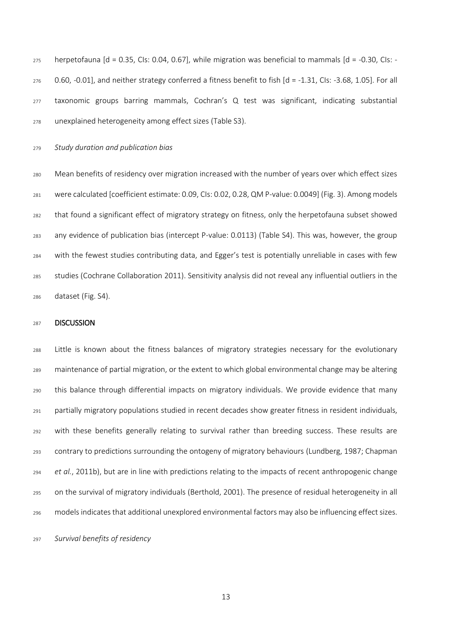herpetofauna [d = 0.35, CIs: 0.04, 0.67], while migration was beneficial to mammals [d = -0.30, CIs: - 0.60, -0.01], and neither strategy conferred a fitness benefit to fish  $\lceil d = -1.31$ , Cls: -3.68, 1.05]. For all taxonomic groups barring mammals, Cochran's Q test was significant, indicating substantial unexplained heterogeneity among effect sizes (Table S3).

*Study duration and publication bias*

 Mean benefits of residency over migration increased with the number of years over which effect sizes were calculated [coefficient estimate: 0.09, CIs: 0.02, 0.28, QM P-value: 0.0049] (Fig. 3). Among models that found a significant effect of migratory strategy on fitness, only the herpetofauna subset showed any evidence of publication bias (intercept P-value: 0.0113) (Table S4). This was, however, the group with the fewest studies contributing data, and Egger's test is potentially unreliable in cases with few studies (Cochrane Collaboration 2011). Sensitivity analysis did not reveal any influential outliers in the dataset (Fig. S4).

### **DISCUSSION**

 Little is known about the fitness balances of migratory strategies necessary for the evolutionary maintenance of partial migration, or the extent to which global environmental change may be altering this balance through differential impacts on migratory individuals. We provide evidence that many partially migratory populations studied in recent decades show greater fitness in resident individuals, with these benefits generally relating to survival rather than breeding success. These results are contrary to predictions surrounding the ontogeny of migratory behaviours (Lundberg, 1987; Chapman *et al.*, 2011b), but are in line with predictions relating to the impacts of recent anthropogenic change on the survival of migratory individuals (Berthold, 2001). The presence of residual heterogeneity in all models indicates that additional unexplored environmental factors may also be influencing effect sizes.

*Survival benefits of residency*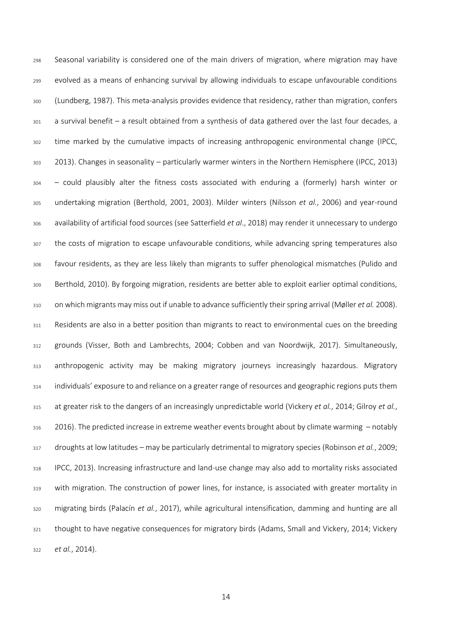Seasonal variability is considered one of the main drivers of migration, where migration may have evolved as a means of enhancing survival by allowing individuals to escape unfavourable conditions (Lundberg, 1987). This meta-analysis provides evidence that residency, rather than migration, confers a survival benefit – a result obtained from a synthesis of data gathered over the last four decades, a time marked by the cumulative impacts of increasing anthropogenic environmental change (IPCC, 2013). Changes in seasonality – particularly warmer winters in the Northern Hemisphere (IPCC, 2013) – could plausibly alter the fitness costs associated with enduring a (formerly) harsh winter or undertaking migration (Berthold, 2001, 2003). Milder winters (Nilsson *et al.*, 2006) and year-round availability of artificial food sources (see Satterfield *et al*., 2018) may render it unnecessary to undergo the costs of migration to escape unfavourable conditions, while advancing spring temperatures also favour residents, as they are less likely than migrants to suffer phenological mismatches (Pulido and Berthold, 2010). By forgoing migration, residents are better able to exploit earlier optimal conditions, on which migrants may miss out if unable to advance sufficiently their spring arrival (Møller *et al.* 2008). Residents are also in a better position than migrants to react to environmental cues on the breeding grounds (Visser, Both and Lambrechts, 2004; Cobben and van Noordwijk, 2017). Simultaneously, anthropogenic activity may be making migratory journeys increasingly hazardous. Migratory individuals' exposure to and reliance on a greater range of resources and geographic regions puts them at greater risk to the dangers of an increasingly unpredictable world (Vickery *et al.*, 2014; Gilroy *et al.*, 2016). The predicted increase in extreme weather events brought about by climate warming – notably droughts at low latitudes – may be particularly detrimental to migratory species (Robinson *et al.*, 2009; IPCC, 2013). Increasing infrastructure and land-use change may also add to mortality risks associated with migration. The construction of power lines, for instance, is associated with greater mortality in migrating birds (Palacín *et al.*, 2017), while agricultural intensification, damming and hunting are all thought to have negative consequences for migratory birds (Adams, Small and Vickery, 2014; Vickery *et al.*, 2014).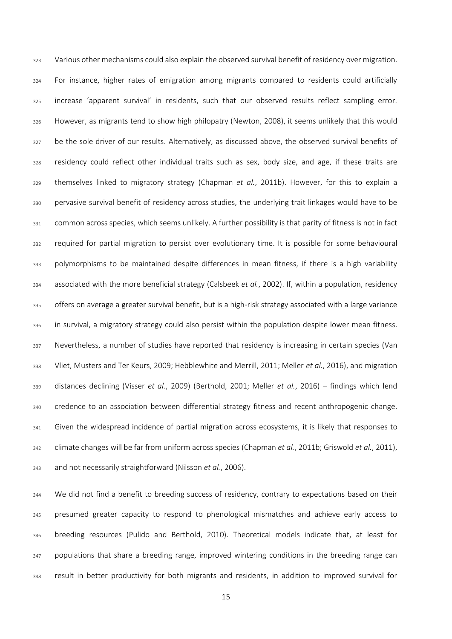Various other mechanisms could also explain the observed survival benefit of residency over migration. For instance, higher rates of emigration among migrants compared to residents could artificially increase 'apparent survival' in residents, such that our observed results reflect sampling error. However, as migrants tend to show high philopatry (Newton, 2008), it seems unlikely that this would be the sole driver of our results. Alternatively, as discussed above, the observed survival benefits of residency could reflect other individual traits such as sex, body size, and age, if these traits are themselves linked to migratory strategy (Chapman *et al.*, 2011b). However, for this to explain a 330 pervasive survival benefit of residency across studies, the underlying trait linkages would have to be common across species, which seems unlikely. A further possibility is that parity of fitness is not in fact required for partial migration to persist over evolutionary time. It is possible for some behavioural polymorphisms to be maintained despite differences in mean fitness, if there is a high variability associated with the more beneficial strategy (Calsbeek *et al.*, 2002). If, within a population, residency offers on average a greater survival benefit, but is a high-risk strategy associated with a large variance 336 in survival, a migratory strategy could also persist within the population despite lower mean fitness. Nevertheless, a number of studies have reported that residency is increasing in certain species (Van Vliet, Musters and Ter Keurs, 2009; Hebblewhite and Merrill, 2011; Meller *et al.*, 2016), and migration distances declining (Visser *et al.*, 2009) (Berthold, 2001; Meller *et al.*, 2016) – findings which lend credence to an association between differential strategy fitness and recent anthropogenic change. 341 Given the widespread incidence of partial migration across ecosystems, it is likely that responses to climate changes will be far from uniform across species (Chapman *et al.*, 2011b; Griswold *et al.*, 2011), and not necessarily straightforward (Nilsson *et al.*, 2006).

 We did not find a benefit to breeding success of residency, contrary to expectations based on their presumed greater capacity to respond to phenological mismatches and achieve early access to breeding resources (Pulido and Berthold, 2010). Theoretical models indicate that, at least for 347 populations that share a breeding range, improved wintering conditions in the breeding range can result in better productivity for both migrants and residents, in addition to improved survival for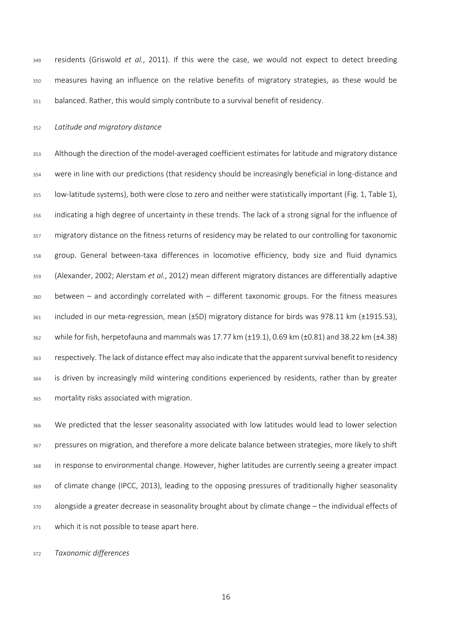residents (Griswold *et al.*, 2011). If this were the case, we would not expect to detect breeding measures having an influence on the relative benefits of migratory strategies, as these would be balanced. Rather, this would simply contribute to a survival benefit of residency.

#### *Latitude and migratory distance*

 Although the direction of the model-averaged coefficient estimates for latitude and migratory distance were in line with our predictions (that residency should be increasingly beneficial in long-distance and low-latitude systems), both were close to zero and neither were statistically important (Fig. 1, Table 1), indicating a high degree of uncertainty in these trends. The lack of a strong signal for the influence of migratory distance on the fitness returns of residency may be related to our controlling for taxonomic group. General between-taxa differences in locomotive efficiency, body size and fluid dynamics (Alexander, 2002; Alerstam *et al.*, 2012) mean different migratory distances are differentially adaptive between – and accordingly correlated with – different taxonomic groups. For the fitness measures included in our meta-regression, mean (±SD) migratory distance for birds was 978.11 km (±1915.53), while for fish, herpetofauna and mammals was 17.77 km (±19.1), 0.69 km (±0.81) and 38.22 km (±4.38) respectively. The lack of distance effect may also indicate that the apparent survival benefit to residency 364 is driven by increasingly mild wintering conditions experienced by residents, rather than by greater mortality risks associated with migration.

 We predicted that the lesser seasonality associated with low latitudes would lead to lower selection pressures on migration, and therefore a more delicate balance between strategies, more likely to shift in response to environmental change. However, higher latitudes are currently seeing a greater impact of climate change (IPCC, 2013), leading to the opposing pressures of traditionally higher seasonality alongside a greater decrease in seasonality brought about by climate change – the individual effects of 371 which it is not possible to tease apart here.

*Taxonomic differences*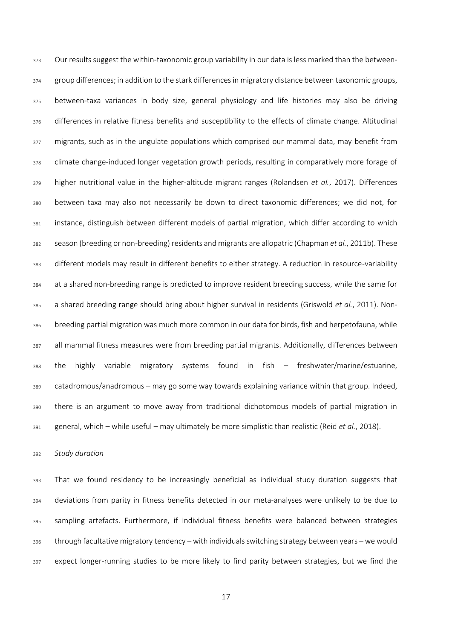373 Our results suggest the within-taxonomic group variability in our data is less marked than the between- group differences; in addition to the stark differences in migratory distance between taxonomic groups, between-taxa variances in body size, general physiology and life histories may also be driving 376 differences in relative fitness benefits and susceptibility to the effects of climate change. Altitudinal 377 migrants, such as in the ungulate populations which comprised our mammal data, may benefit from 378 climate change-induced longer vegetation growth periods, resulting in comparatively more forage of higher nutritional value in the higher-altitude migrant ranges (Rolandsen *et al.*, 2017). Differences between taxa may also not necessarily be down to direct taxonomic differences; we did not, for instance, distinguish between different models of partial migration, which differ according to which season (breeding or non-breeding) residents and migrants are allopatric (Chapman *et al.*, 2011b). These different models may result in different benefits to either strategy. A reduction in resource-variability at a shared non-breeding range is predicted to improve resident breeding success, while the same for a shared breeding range should bring about higher survival in residents (Griswold *et al.*, 2011). Non- breeding partial migration was much more common in our data for birds, fish and herpetofauna, while all mammal fitness measures were from breeding partial migrants. Additionally, differences between the highly variable migratory systems found in fish – freshwater/marine/estuarine, catadromous/anadromous – may go some way towards explaining variance within that group. Indeed, there is an argument to move away from traditional dichotomous models of partial migration in general, which – while useful – may ultimately be more simplistic than realistic (Reid *et al.*, 2018).

## *Study duration*

393 That we found residency to be increasingly beneficial as individual study duration suggests that deviations from parity in fitness benefits detected in our meta-analyses were unlikely to be due to sampling artefacts. Furthermore, if individual fitness benefits were balanced between strategies through facultative migratory tendency – with individuals switching strategy between years – we would expect longer-running studies to be more likely to find parity between strategies, but we find the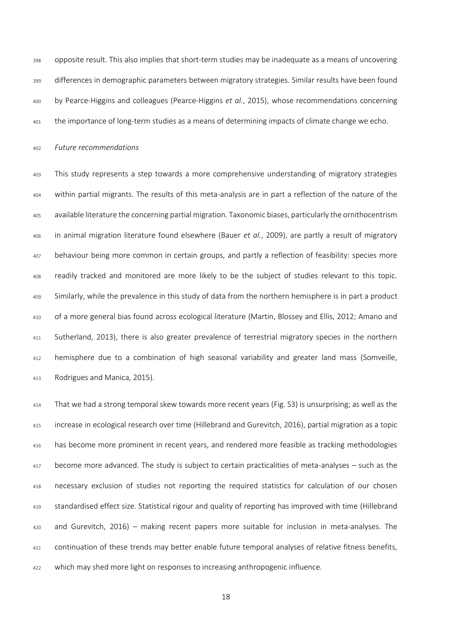opposite result. This also implies that short-term studies may be inadequate as a means of uncovering differences in demographic parameters between migratory strategies. Similar results have been found by Pearce-Higgins and colleagues (Pearce-Higgins *et al.*, 2015), whose recommendations concerning the importance of long-term studies as a means of determining impacts of climate change we echo.

*Future recommendations*

 This study represents a step towards a more comprehensive understanding of migratory strategies within partial migrants. The results of this meta-analysis are in part a reflection of the nature of the available literature the concerning partial migration. Taxonomic biases, particularly the ornithocentrism in animal migration literature found elsewhere (Bauer *et al.*, 2009), are partly a result of migratory behaviour being more common in certain groups, and partly a reflection of feasibility: species more readily tracked and monitored are more likely to be the subject of studies relevant to this topic. Similarly, while the prevalence in this study of data from the northern hemisphere is in part a product of a more general bias found across ecological literature (Martin, Blossey and Ellis, 2012; Amano and 411 Sutherland, 2013), there is also greater prevalence of terrestrial migratory species in the northern hemisphere due to a combination of high seasonal variability and greater land mass (Somveille, Rodrigues and Manica, 2015).

 That we had a strong temporal skew towards more recent years (Fig. S3) is unsurprising; as well as the increase in ecological research over time (Hillebrand and Gurevitch, 2016), partial migration as a topic has become more prominent in recent years, and rendered more feasible as tracking methodologies become more advanced. The study is subject to certain practicalities of meta-analyses – such as the necessary exclusion of studies not reporting the required statistics for calculation of our chosen standardised effect size. Statistical rigour and quality of reporting has improved with time (Hillebrand and Gurevitch, 2016) – making recent papers more suitable for inclusion in meta-analyses. The continuation of these trends may better enable future temporal analyses of relative fitness benefits, which may shed more light on responses to increasing anthropogenic influence.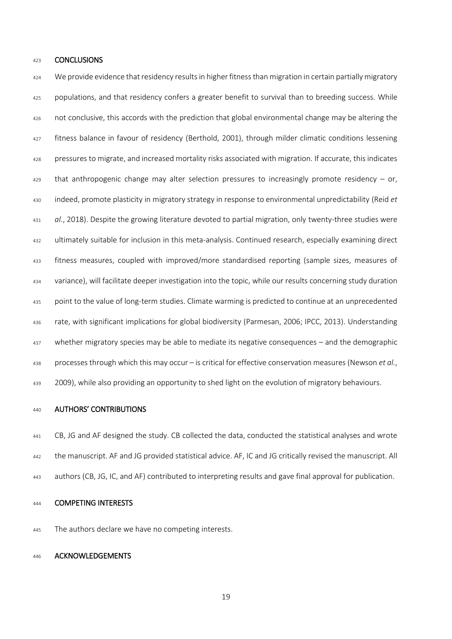### CONCLUSIONS

424 We provide evidence that residency results in higher fitness than migration in certain partially migratory populations, and that residency confers a greater benefit to survival than to breeding success. While not conclusive, this accords with the prediction that global environmental change may be altering the fitness balance in favour of residency (Berthold, 2001), through milder climatic conditions lessening pressures to migrate, and increased mortality risks associated with migration. If accurate, this indicates that anthropogenic change may alter selection pressures to increasingly promote residency – or, indeed, promote plasticity in migratory strategy in response to environmental unpredictability (Reid *et al.*, 2018). Despite the growing literature devoted to partial migration, only twenty-three studies were ultimately suitable for inclusion in this meta-analysis. Continued research, especially examining direct fitness measures, coupled with improved/more standardised reporting (sample sizes, measures of variance), will facilitate deeper investigation into the topic, while our results concerning study duration point to the value of long-term studies. Climate warming is predicted to continue at an unprecedented rate, with significant implications for global biodiversity (Parmesan, 2006; IPCC, 2013). Understanding whether migratory species may be able to mediate its negative consequences – and the demographic processes through which this may occur – is critical for effective conservation measures (Newson *et al.*, 2009), while also providing an opportunity to shed light on the evolution of migratory behaviours.

#### AUTHORS' CONTRIBUTIONS

 CB, JG and AF designed the study. CB collected the data, conducted the statistical analyses and wrote the manuscript. AF and JG provided statistical advice. AF, IC and JG critically revised the manuscript. All authors (CB, JG, IC, and AF) contributed to interpreting results and gave final approval for publication.

## 444 COMPETING INTERESTS

445 The authors declare we have no competing interests.

# ACKNOWLEDGEMENTS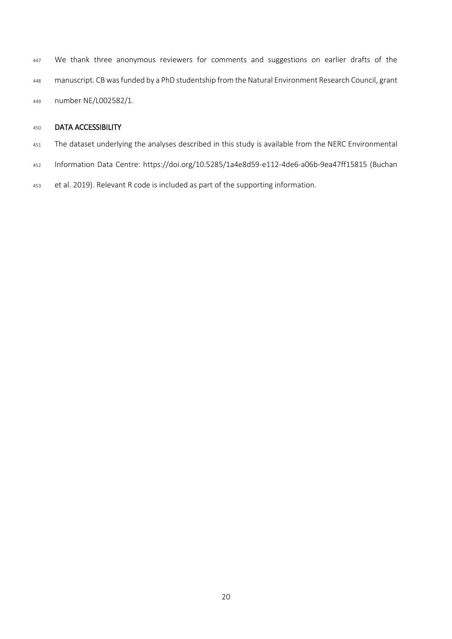447 We thank three anonymous reviewers for comments and suggestions on earlier drafts of the manuscript. CBwas funded by a PhD studentship from the Natural Environment Research Council, grant number NE/L002582/1.

# DATA ACCESSIBILITY

- 451 The dataset underlying the analyses described in this study is available from the NERC Environmental
- Information Data Centre:<https://doi.org/10.5285/1a4e8d59-e112-4de6-a06b-9ea47ff15815> (Buchan
- et al. 2019). Relevant R code is included as part of the supporting information.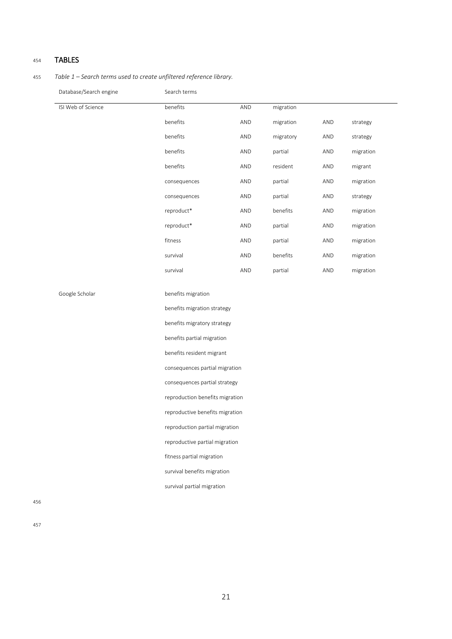## <sup>454</sup> TABLES

455 *Table 1 – Search terms used to create unfiltered reference library.*

Database/Search engine Search terms

| ISI Web of Science | benefits     | AND | migration |     |           |
|--------------------|--------------|-----|-----------|-----|-----------|
|                    | benefits     | AND | migration | AND | strategy  |
|                    | benefits     | AND | migratory | AND | strategy  |
|                    | benefits     | AND | partial   | AND | migration |
|                    | benefits     | AND | resident  | AND | migrant   |
|                    | consequences | AND | partial   | AND | migration |
|                    | consequences | AND | partial   | AND | strategy  |
|                    | reproduct*   | AND | benefits  | AND | migration |
|                    | reproduct*   | AND | partial   | AND | migration |
|                    | fitness      | AND | partial   | AND | migration |
|                    | survival     | AND | benefits  | AND | migration |
|                    | survival     | AND | partial   | AND | migration |
|                    |              |     |           |     |           |

Google Scholar benefits migration

benefits migration strategy

benefits migratory strategy

benefits partial migration

benefits resident migrant

consequences partial migration

consequences partial strategy

reproduction benefits migration

reproductive benefits migration

reproduction partial migration

reproductive partial migration

fitness partial migration

survival benefits migration

survival partial migration

456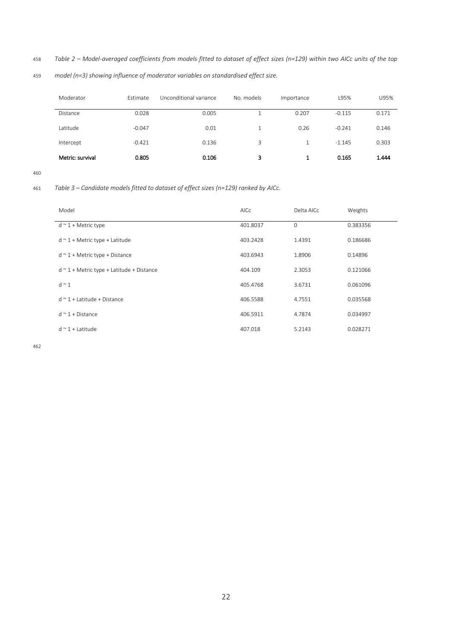458 *Table 2 – Model-averaged coefficients from models fitted to dataset of effect sizes (n=129) within two AICc units of the top* 

459 *model (n=3) showing influence of moderator variables on standardised effect size.*

| Moderator        | <b>Fstimate</b> | Unconditional variance | No. models | Importance | L95%     | U95%  |
|------------------|-----------------|------------------------|------------|------------|----------|-------|
| Distance         | 0.028           | 0.005                  |            | 0.207      | $-0.115$ | 0.171 |
| Latitude         | $-0.047$        | 0.01                   |            | 0.26       | $-0.241$ | 0.146 |
| Intercept        | $-0.421$        | 0.136                  | 3          |            | $-1.145$ | 0.303 |
| Metric: survival | 0.805           | 0.106                  | 3          |            | 0.165    | 1.444 |

460

461 *Table 3 – Candidate models fitted to dataset of effect sizes (n=129) ranked by AICc.*

| Model                                          | <b>AICc</b> | Delta AICc     | Weights  |
|------------------------------------------------|-------------|----------------|----------|
| $d \sim 1 +$ Metric type                       | 401.8037    | $\overline{0}$ | 0.383356 |
| $d \sim 1 +$ Metric type + Latitude            | 403.2428    | 1.4391         | 0.186686 |
| $d \sim 1 +$ Metric type + Distance            | 403.6943    | 1.8906         | 0.14896  |
| $d \sim 1 +$ Metric type + Latitude + Distance | 404.109     | 2.3053         | 0.121066 |
| $d \sim 1$                                     | 405.4768    | 3.6731         | 0.061096 |
| $d \approx 1 + 1$ atitude + Distance           | 406.5588    | 4.7551         | 0.035568 |
| $d \approx 1 + Distance$                       | 406.5911    | 4.7874         | 0.034997 |
| $d \sim 1 +$ Latitude                          | 407.018     | 5.2143         | 0.028271 |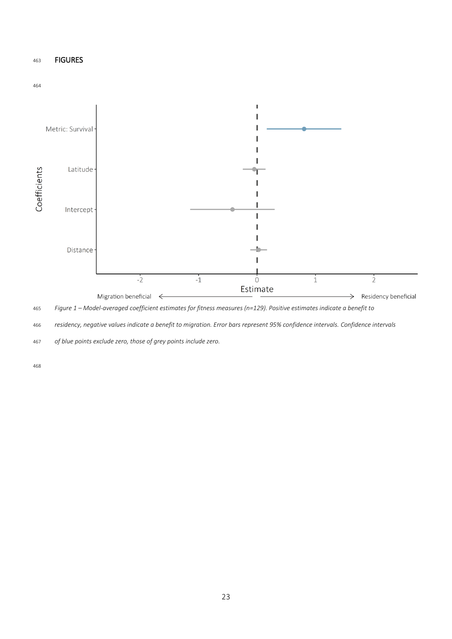## FIGURES



*Figure 1 – Model-averaged coefficient estimates for fitness measures (n=129). Positive estimates indicate a benefit to* 

*residency, negative values indicate a benefit to migration. Error bars represent 95% confidence intervals. Confidence intervals* 

*of blue points exclude zero, those of grey points include zero.*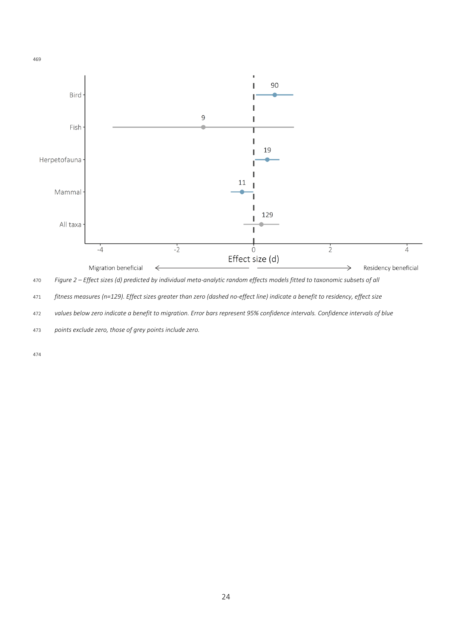

*Figure 2 – Effect sizes (d) predicted by individual meta-analytic random effects models fitted to taxonomic subsets of all* 

*fitness measures (n=129). Effect sizes greater than zero (dashed no-effect line) indicate a benefit to residency, effect size* 

*values below zero indicate a benefit to migration. Error bars represent 95% confidence intervals. Confidence intervals of blue* 

*points exclude zero, those of grey points include zero.*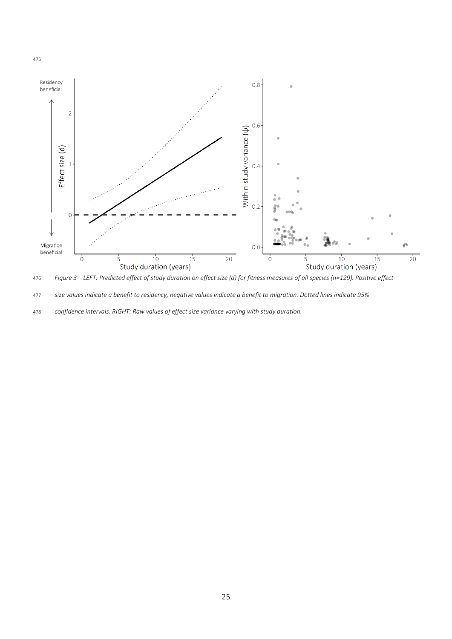

*Figure 3 – LEFT: Predicted effect of study duration on effect size (d) for fitness measures of all species (n=129). Positive effect* 

*size values indicate a benefit to residency, negative values indicate a benefit to migration. Dotted lines indicate 95%* 

*confidence intervals. RIGHT: Raw values of effect size variance varying with study duration.*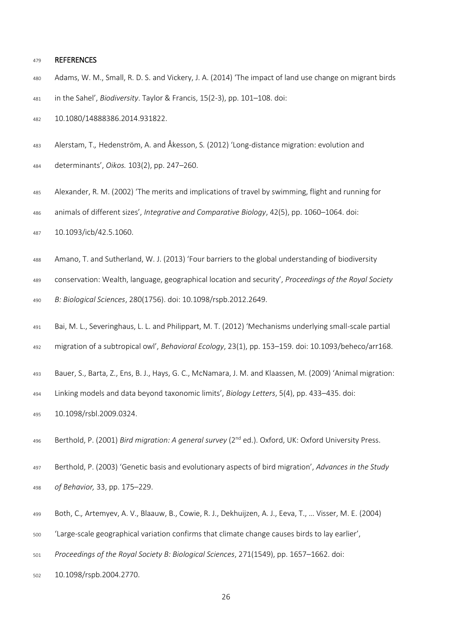#### REFERENCES

- Adams, W. M., Small, R. D. S. and Vickery, J. A. (2014) 'The impact of land use change on migrant birds in the Sahel', *Biodiversity*. Taylor & Francis, 15(2-3), pp. 101–108. doi:
- 10.1080/14888386.2014.931822.
- Alerstam, T.*,* Hedenström, A. and Åkesson, S*.* (2012) 'Long-distance migration: evolution and determinants', *Oikos.* 103(2), pp. 247–260.
- Alexander, R. M. (2002) 'The merits and implications of travel by swimming, flight and running for animals of different sizes', *Integrative and Comparative Biology*, 42(5), pp. 1060–1064. doi:

10.1093/icb/42.5.1060.

- Amano, T. and Sutherland, W. J. (2013) 'Four barriers to the global understanding of biodiversity
- conservation: Wealth, language, geographical location and security', *Proceedings of the Royal Society*

*B: Biological Sciences*, 280(1756). doi: 10.1098/rspb.2012.2649.

- Bai, M. L., Severinghaus, L. L. and Philippart, M. T. (2012) 'Mechanisms underlying small-scale partial
- migration of a subtropical owl', *Behavioral Ecology*, 23(1), pp. 153–159. doi: 10.1093/beheco/arr168.
- Bauer, S., Barta, Z., Ens, B. J., Hays, G. C., McNamara, J. M. and Klaassen, M. (2009) 'Animal migration:
- Linking models and data beyond taxonomic limits', *Biology Letters*, 5(4), pp. 433–435. doi:
- 10.1098/rsbl.2009.0324.
- 496 Berthold, P. (2001) *Bird migration: A general survey* (2<sup>nd</sup> ed.). Oxford, UK: Oxford University Press.
- Berthold, P. (2003) 'Genetic basis and evolutionary aspects of bird migration', *Advances in the Study of Behavior,* 33, pp. 175–229.
- Both, C.*,* Artemyev, A. V., Blaauw, B., Cowie, R. J., Dekhuijzen, A. J., Eeva, T., … Visser, M. E. (2004)
- 'Large-scale geographical variation confirms that climate change causes birds to lay earlier',
- *Proceedings of the Royal Society B: Biological Sciences*, 271(1549), pp. 1657–1662. doi:
- 10.1098/rspb.2004.2770.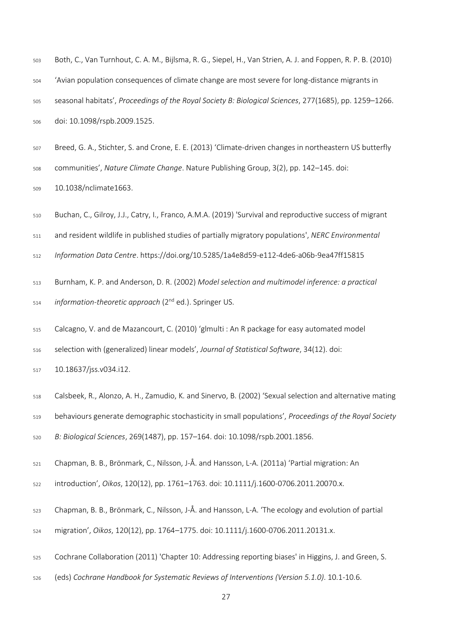| 503 | Both, C., Van Turnhout, C. A. M., Bijlsma, R. G., Siepel, H., Van Strien, A. J. and Foppen, R. P. B. (2010) |
|-----|-------------------------------------------------------------------------------------------------------------|
| 504 | 'Avian population consequences of climate change are most severe for long-distance migrants in              |
| 505 | seasonal habitats', Proceedings of the Royal Society B: Biological Sciences, 277(1685), pp. 1259–1266.      |
| 506 | doi: 10.1098/rspb.2009.1525.                                                                                |
|     |                                                                                                             |

 Breed, G. A., Stichter, S. and Crone, E. E. (2013) 'Climate-driven changes in northeastern US butterfly communities', *Nature Climate Change*. Nature Publishing Group, 3(2), pp. 142–145. doi: 10.1038/nclimate1663.

Buchan, C., Gilroy, J.J., Catry, I., Franco, A.M.A. (2019) 'Survival and reproductive success of migrant

and resident wildlife in published studies of partially migratory populations', *NERC Environmental* 

*Information Data Centre*. <https://doi.org/10.5285/1a4e8d59-e112-4de6-a06b-9ea47ff15815>

- Burnham, K. P. and Anderson, D. R. (2002) *Model selection and multimodel inference: a practical*  <sup>514</sup> *information-theoretic approach* (2<sup>nd</sup> ed.). Springer US.
- Calcagno, V. and de Mazancourt, C. (2010) 'glmulti : An R package for easy automated model

selection with (generalized) linear models', *Journal of Statistical Software*, 34(12). doi:

10.18637/jss.v034.i12.

Calsbeek, R., Alonzo, A. H., Zamudio, K. and Sinervo, B. (2002) 'Sexual selection and alternative mating

behaviours generate demographic stochasticity in small populations', *Proceedings of the Royal Society* 

*B: Biological Sciences*, 269(1487), pp. 157–164. doi: 10.1098/rspb.2001.1856.

Chapman, B. B., Brönmark, C., Nilsson, J-Å. and Hansson, L-A. (2011a) 'Partial migration: An

introduction', *Oikos*, 120(12), pp. 1761–1763. doi: 10.1111/j.1600-0706.2011.20070.x.

- Chapman, B. B., Brönmark, C., Nilsson, J-Å. and Hansson, L-A. 'The ecology and evolution of partial
- migration', *Oikos*, 120(12), pp. 1764–1775. doi: 10.1111/j.1600-0706.2011.20131.x.
- Cochrane Collaboration (2011) 'Chapter 10: Addressing reporting biases' in Higgins, J. and Green, S.
- (eds) *Cochrane Handbook for Systematic Reviews of Interventions (Version 5.1.0)*. 10.1-10.6.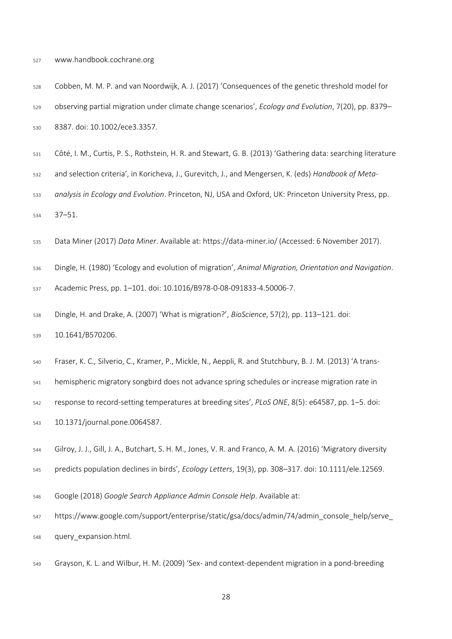- www.handbook.cochrane.org
- Cobben, M. M. P. and van Noordwijk, A. J. (2017) 'Consequences of the genetic threshold model for observing partial migration under climate change scenarios', *Ecology and Evolution*, 7(20), pp. 8379– 8387. doi: 10.1002/ece3.3357.
- Côté, I. M., Curtis, P. S., Rothstein, H. R. and Stewart, G. B. (2013) 'Gathering data: searching literature
- and selection criteria', in Koricheva, J., Gurevitch, J., and Mengersen, K. (eds) *Handbook of Meta-*
- *analysis in Ecology and Evolution*. Princeton, NJ, USA and Oxford, UK: Princeton University Press, pp. 37–51.
- Data Miner (2017) *Data Miner*. Available at: https://data-miner.io/ (Accessed: 6 November 2017).
- Dingle, H. (1980) 'Ecology and evolution of migration', *Animal Migration, Orientation and Navigation*.
- Academic Press, pp. 1–101. doi: 10.1016/B978-0-08-091833-4.50006-7.
- Dingle, H. and Drake, A. (2007) 'What is migration?', *BioScience*, 57(2), pp. 113–121. doi:

10.1641/B570206.

- Fraser, K. C.*,* Silverio, C., Kramer, P., Mickle, N., Aeppli, R. and Stutchbury, B. J. M. (2013) 'A trans-
- hemispheric migratory songbird does not advance spring schedules or increase migration rate in
- response to record-setting temperatures at breeding sites', *PLoS ONE*, 8(5): e64587, pp. 1–5. doi:
- 10.1371/journal.pone.0064587.
- Gilroy, J. J., Gill, J. A., Butchart, S. H. M., Jones, V. R. and Franco, A. M. A. (2016) 'Migratory diversity
- predicts population declines in birds', *Ecology Letters*, 19(3), pp. 308–317. doi: 10.1111/ele.12569.
- Google (2018) *Google Search Appliance Admin Console Help*. Available at:
- https://www.google.com/support/enterprise/static/gsa/docs/admin/74/admin\_console\_help/serve\_ query\_expansion.html.
- Grayson, K. L. and Wilbur, H. M. (2009) 'Sex- and context-dependent migration in a pond-breeding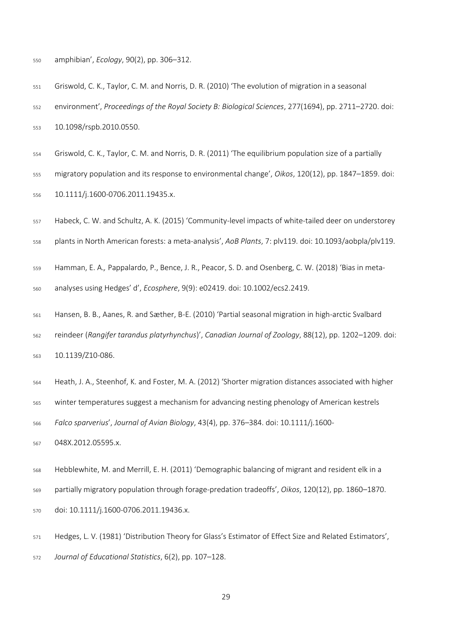amphibian', *Ecology*, 90(2), pp. 306–312.

- Griswold, C. K., Taylor, C. M. and Norris, D. R. (2010) 'The evolution of migration in a seasonal environment', *Proceedings of the Royal Society B: Biological Sciences*, 277(1694), pp. 2711–2720. doi: 10.1098/rspb.2010.0550.
- Griswold, C. K., Taylor, C. M. and Norris, D. R. (2011) 'The equilibrium population size of a partially
- migratory population and its response to environmental change', *Oikos*, 120(12), pp. 1847–1859. doi: 10.1111/j.1600-0706.2011.19435.x.
- Habeck, C. W. and Schultz, A. K. (2015) 'Community-level impacts of white-tailed deer on understorey
- plants in North American forests: a meta-analysis', *AoB Plants*, 7: plv119. doi: 10.1093/aobpla/plv119.
- Hamman, E. A.*,* Pappalardo, P., Bence, J. R., Peacor, S. D. and Osenberg, C. W. (2018) 'Bias in meta-analyses using Hedges' d', *Ecosphere*, 9(9): e02419. doi: 10.1002/ecs2.2419.
- Hansen, B. B., Aanes, R. and Sæther, B-E. (2010) 'Partial seasonal migration in high-arctic Svalbard reindeer (*Rangifer tarandus platyrhynchus*)', *Canadian Journal of Zoology*, 88(12), pp. 1202–1209. doi: 10.1139/Z10-086.
- Heath, J. A., Steenhof, K. and Foster, M. A. (2012) 'Shorter migration distances associated with higher
- winter temperatures suggest a mechanism for advancing nesting phenology of American kestrels

*Falco sparverius*', *Journal of Avian Biology*, 43(4), pp. 376–384. doi: 10.1111/j.1600-

048X.2012.05595.x.

- Hebblewhite, M. and Merrill, E. H. (2011) 'Demographic balancing of migrant and resident elk in a partially migratory population through forage-predation tradeoffs', *Oikos*, 120(12), pp. 1860–1870. doi: 10.1111/j.1600-0706.2011.19436.x.
- Hedges, L. V. (1981) 'Distribution Theory for Glass's Estimator of Effect Size and Related Estimators', *Journal of Educational Statistics*, 6(2), pp. 107–128.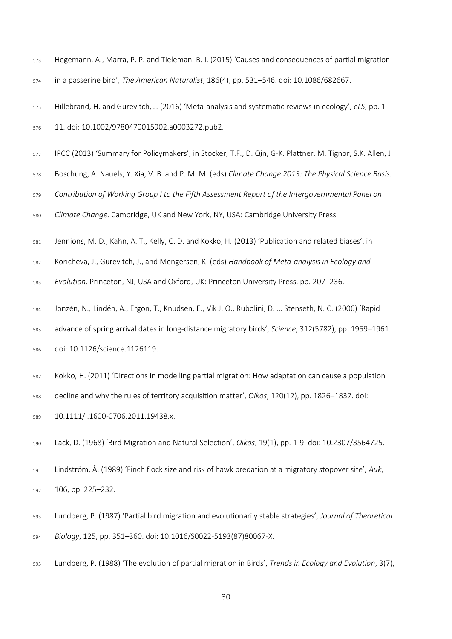Hegemann, A., Marra, P. P. and Tieleman, B. I. (2015) 'Causes and consequences of partial migration

in a passerine bird', *The American Naturalist*, 186(4), pp. 531–546. doi: 10.1086/682667.

Hillebrand, H. and Gurevitch, J. (2016) 'Meta-analysis and systematic reviews in ecology', *eLS*, pp. 1–

- 11. doi: 10.1002/9780470015902.a0003272.pub2.
- IPCC (2013) 'Summary for Policymakers', in Stocker, T.F., D. Qin, G-K. Plattner, M. Tignor, S.K. Allen, J.
- Boschung, A. Nauels, Y. Xia, V. B. and P. M. M. (eds) *Climate Change 2013: The Physical Science Basis.*
- *Contribution of Working Group I to the Fifth Assessment Report of the Intergovernmental Panel on*

*Climate Change*. Cambridge, UK and New York, NY, USA: Cambridge University Press.

- Jennions, M. D., Kahn, A. T., Kelly, C. D. and Kokko, H. (2013) 'Publication and related biases', in
- Koricheva, J., Gurevitch, J., and Mengersen, K. (eds) *Handbook of Meta-analysis in Ecology and*
- *Evolution*. Princeton, NJ, USA and Oxford, UK: Princeton University Press, pp. 207–236.
- Jonzén, N.*,* Lindén, A., Ergon, T., Knudsen, E., Vik J. O., Rubolini, D. … Stenseth, N. C. (2006) 'Rapid
- advance of spring arrival dates in long-distance migratory birds', *Science*, 312(5782), pp. 1959–1961. doi: 10.1126/science.1126119.
- Kokko, H. (2011) 'Directions in modelling partial migration: How adaptation can cause a population
- decline and why the rules of territory acquisition matter', *Oikos*, 120(12), pp. 1826–1837. doi:
- 10.1111/j.1600-0706.2011.19438.x.
- Lack, D. (1968) 'Bird Migration and Natural Selection', *Oikos*, 19(1), pp. 1-9. doi: 10.2307/3564725.
- Lindström, Å. (1989) 'Finch flock size and risk of hawk predation at a migratory stopover site', *Auk*, 106, pp. 225–232.
- Lundberg, P. (1987) 'Partial bird migration and evolutionarily stable strategies', *Journal of Theoretical Biology*, 125, pp. 351–360. doi: 10.1016/S0022-5193(87)80067-X.
- Lundberg, P. (1988) 'The evolution of partial migration in Birds', *Trends in Ecology and Evolution*, 3(7),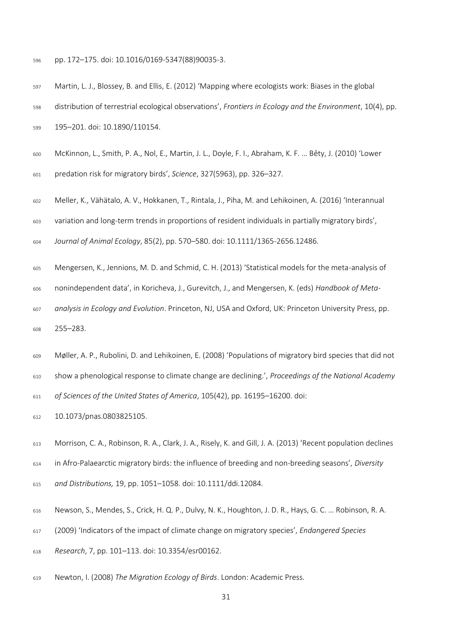pp. 172–175. doi: 10.1016/0169-5347(88)90035-3.

 Martin, L. J., Blossey, B. and Ellis, E. (2012) 'Mapping where ecologists work: Biases in the global distribution of terrestrial ecological observations', *Frontiers in Ecology and the Environment*, 10(4), pp. 195–201. doi: 10.1890/110154.

McKinnon, L., Smith, P. A., Nol, E., Martin, J. L., Doyle, F. I., Abraham, K. F. … Bêty, J. (2010) 'Lower

predation risk for migratory birds', *Science*, 327(5963), pp. 326–327.

Meller, K., Vähätalo, A. V., Hokkanen, T., Rintala, J., Piha, M. and Lehikoinen, A. (2016) 'Interannual

variation and long-term trends in proportions of resident individuals in partially migratory birds',

*Journal of Animal Ecology*, 85(2), pp. 570–580. doi: 10.1111/1365-2656.12486.

Mengersen, K., Jennions, M. D. and Schmid, C. H. (2013) 'Statistical models for the meta-analysis of

nonindependent data', in Koricheva, J., Gurevitch, J., and Mengersen, K. (eds) *Handbook of Meta-*

 *analysis in Ecology and Evolution*. Princeton, NJ, USA and Oxford, UK: Princeton University Press, pp. 255–283.

Møller, A. P., Rubolini, D. and Lehikoinen, E. (2008) 'Populations of migratory bird species that did not

show a phenological response to climate change are declining.', *Proceedings of the National Academy* 

*of Sciences of the United States of America*, 105(42), pp. 16195–16200. doi:

10.1073/pnas.0803825105.

 Morrison, C. A., Robinson, R. A., Clark, J. A., Risely, K. and Gill, J. A. (2013) 'Recent population declines in Afro-Palaearctic migratory birds: the influence of breeding and non-breeding seasons', *Diversity and Distributions,* 19, pp. 1051–1058. doi: 10.1111/ddi.12084.

Newson, S., Mendes, S., Crick, H. Q. P., Dulvy, N. K., Houghton, J. D. R., Hays, G. C. … Robinson, R. A.

(2009) 'Indicators of the impact of climate change on migratory species', *Endangered Species* 

*Research*, 7, pp. 101–113. doi: 10.3354/esr00162.

Newton, I. (2008) *The Migration Ecology of Birds*. London: Academic Press.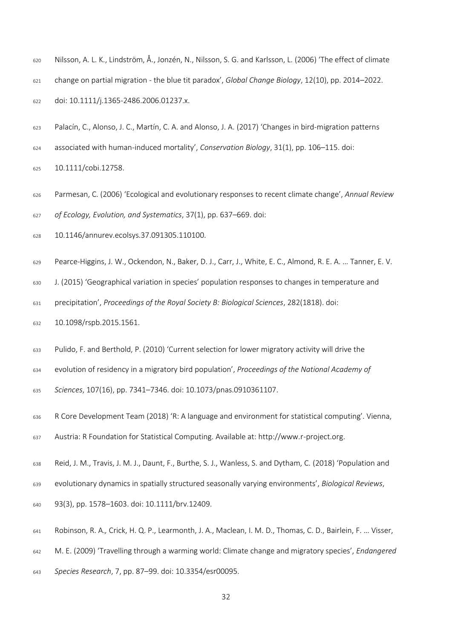- Nilsson, A. L. K., Lindström, Å., Jonzén, N., Nilsson, S. G. and Karlsson, L. (2006) 'The effect of climate change on partial migration - the blue tit paradox', *Global Change Biology*, 12(10), pp. 2014–2022. doi: 10.1111/j.1365-2486.2006.01237.x.
- Palacín, C., Alonso, J. C., Martín, C. A. and Alonso, J. A. (2017) 'Changes in bird-migration patterns
- associated with human-induced mortality', *Conservation Biology*, 31(1), pp. 106–115. doi:
- 10.1111/cobi.12758.
- Parmesan, C. (2006) 'Ecological and evolutionary responses to recent climate change', *Annual Review of Ecology, Evolution, and Systematics*, 37(1), pp. 637–669. doi:
- 10.1146/annurev.ecolsys.37.091305.110100.
- Pearce-Higgins, J. W., Ockendon, N., Baker, D. J., Carr, J., White, E. C., Almond, R. E. A. … Tanner, E. V.
- J. (2015) 'Geographical variation in species' population responses to changes in temperature and
- precipitation', *Proceedings of the Royal Society B: Biological Sciences*, 282(1818). doi:
- 10.1098/rspb.2015.1561.
- Pulido, F. and Berthold, P. (2010) 'Current selection for lower migratory activity will drive the
- evolution of residency in a migratory bird population', *Proceedings of the National Academy of*
- *Sciences*, 107(16), pp. 7341–7346. doi: 10.1073/pnas.0910361107.
- R Core Development Team (2018) 'R: A language and environment for statistical computing'. Vienna, Austria: R Foundation for Statistical Computing. Available at: http://www.r-project.org.
- Reid, J. M., Travis, J. M. J., Daunt, F., Burthe, S. J., Wanless, S. and Dytham, C. (2018) 'Population and
- evolutionary dynamics in spatially structured seasonally varying environments', *Biological Reviews*,
- 93(3), pp. 1578–1603. doi: 10.1111/brv.12409.
- Robinson, R. A.*,* Crick, H. Q. P., Learmonth, J. A., Maclean, I. M. D., Thomas, C. D., Bairlein, F. … Visser,
- M. E. (2009) 'Travelling through a warming world: Climate change and migratory species', *Endangered*
- *Species Research*, 7, pp. 87–99. doi: 10.3354/esr00095.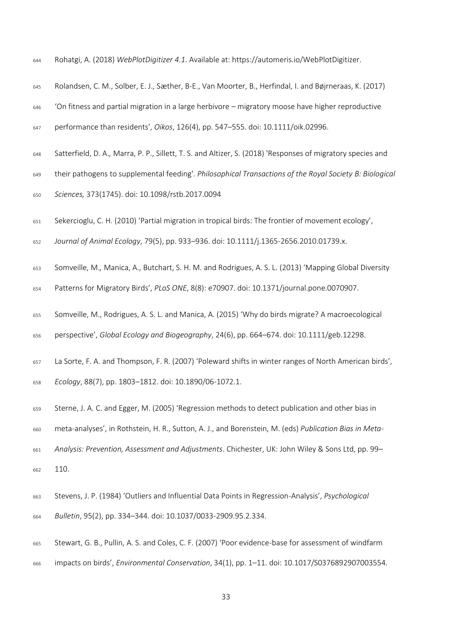- Rohatgi, A. (2018) *WebPlotDigitizer 4.1*. Available at: https://automeris.io/WebPlotDigitizer.
- Rolandsen, C. M., Solber, E. J., Sæther, B-E., Van Moorter, B., Herfindal, I. and Bøjrneraas, K. (2017)
- 'On fitness and partial migration in a large herbivore migratory moose have higher reproductive
- performance than residents', *Oikos*, 126(4), pp. 547–555. doi: 10.1111/oik.02996.
- Satterfield, D. A.*,* Marra, P. P., Sillett, T. S. and Altizer, S. (2018) 'Responses of migratory species and
- their pathogens to supplemental feeding'. *Philosophical Transactions of the Royal Society B: Biological*
- *Sciences,* 373(1745). doi: 10.1098/rstb.2017.0094
- Sekercioglu, C. H. (2010) 'Partial migration in tropical birds: The frontier of movement ecology',
- *Journal of Animal Ecology*, 79(5), pp. 933–936. doi: 10.1111/j.1365-2656.2010.01739.x.
- Somveille, M.*,* Manica, A., Butchart, S. H. M. and Rodrigues, A. S. L. (2013) 'Mapping Global Diversity
- Patterns for Migratory Birds', *PLoS ONE*, 8(8): e70907. doi: 10.1371/journal.pone.0070907.
- Somveille, M., Rodrigues, A. S. L. and Manica, A. (2015) 'Why do birds migrate? A macroecological
- perspective', *Global Ecology and Biogeography*, 24(6), pp. 664–674. doi: 10.1111/geb.12298.
- La Sorte, F. A. and Thompson, F. R. (2007) 'Poleward shifts in winter ranges of North American birds', *Ecology*, 88(7), pp. 1803–1812. doi: 10.1890/06-1072.1.
- Sterne, J. A. C. and Egger, M. (2005) 'Regression methods to detect publication and other bias in
- meta-analyses', in Rothstein, H. R., Sutton, A. J., and Borenstein, M. (eds) *Publication Bias in Meta-*
- *Analysis: Prevention, Assessment and Adjustments*. Chichester, UK: John Wiley & Sons Ltd, pp. 99– 110.
- Stevens, J. P. (1984) 'Outliers and Influential Data Points in Regression-Analysis', *Psychological Bulletin*, 95(2), pp. 334–344. doi: 10.1037/0033-2909.95.2.334.
- Stewart, G. B., Pullin, A. S. and Coles, C. F. (2007) 'Poor evidence-base for assessment of windfarm
- impacts on birds', *Environmental Conservation*, 34(1), pp. 1–11. doi: 10.1017/S0376892907003554.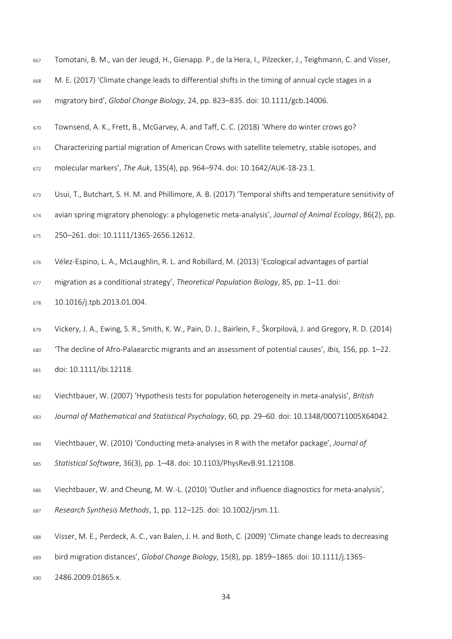- Tomotani, B. M., van der Jeugd, H., Gienapp. P., de la Hera, I., Pilzecker, J., Teighmann, C. and Visser,
- M. E. (2017) 'Climate change leads to differential shifts in the timing of annual cycle stages in a
- migratory bird', *Global Change Biology*, 24, pp. 823–835. doi: 10.1111/gcb.14006.
- Townsend, A. K., Frett, B., McGarvey, A. and Taff, C. C. (2018) 'Where do winter crows go?
- Characterizing partial migration of American Crows with satellite telemetry, stable isotopes, and
- molecular markers', *The Auk*, 135(4), pp. 964–974. doi: 10.1642/AUK-18-23.1.
- Usui, T., Butchart, S. H. M. and Phillimore, A. B. (2017) 'Temporal shifts and temperature sensitivity of
- avian spring migratory phenology: a phylogenetic meta-analysis', *Journal of Animal Ecology*, 86(2), pp.
- 250–261. doi: 10.1111/1365-2656.12612.
- Vélez-Espino, L. A., McLaughlin, R. L. and Robillard, M. (2013) 'Ecological advantages of partial
- migration as a conditional strategy', *Theoretical Population Biology*, 85, pp. 1–11. doi:
- 10.1016/j.tpb.2013.01.004.
- Vickery, J. A., Ewing, S. R., Smith, K. W., Pain, D. J., Bairlein, F., Škorpilová, J. and Gregory, R. D. (2014)
- 'The decline of Afro-Palaearctic migrants and an assessment of potential causes', *Ibis,* 156, pp. 1–22. doi: 10.1111/ibi.12118.
- Viechtbauer, W. (2007) 'Hypothesis tests for population heterogeneity in meta-analysis', *British*
- *Journal of Mathematical and Statistical Psychology*, 60, pp. 29–60. doi: 10.1348/000711005X64042.
- Viechtbauer, W. (2010) 'Conducting meta-analyses in R with the metafor package', *Journal of Statistical Software*, 36(3), pp. 1–48. doi: 10.1103/PhysRevB.91.121108.
- Viechtbauer, W. and Cheung, M. W.-L. (2010) 'Outlier and influence diagnostics for meta-analysis',
- *Research Synthesis Methods*, 1, pp. 112–125. doi: 10.1002/jrsm.11.
- Visser, M. E.*,* Perdeck, A. C., van Balen, J. H. and Both, C. (2009) 'Climate change leads to decreasing
- bird migration distances', *Global Change Biology*, 15(8), pp. 1859–1865. doi: 10.1111/j.1365-
- 2486.2009.01865.x.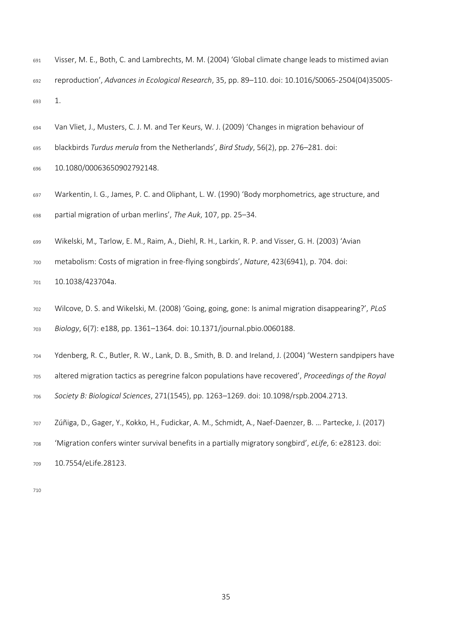- Visser, M. E., Both, C. and Lambrechts, M. M. (2004) 'Global climate change leads to mistimed avian reproduction', *Advances in Ecological Research*, 35, pp. 89–110. doi: 10.1016/S0065-2504(04)35005- 1.
- Van Vliet, J., Musters, C. J. M. and Ter Keurs, W. J. (2009) 'Changes in migration behaviour of
- blackbirds *Turdus merula* from the Netherlands', *Bird Study*, 56(2), pp. 276–281. doi:
- 10.1080/00063650902792148.
- Warkentin, I. G., James, P. C. and Oliphant, L. W. (1990) 'Body morphometrics, age structure, and partial migration of urban merlins', *The Auk*, 107, pp. 25–34.
- Wikelski, M.*,* Tarlow, E. M., Raim, A., Diehl, R. H., Larkin, R. P. and Visser, G. H. (2003) 'Avian
- metabolism: Costs of migration in free-flying songbirds', *Nature*, 423(6941), p. 704. doi:
- 10.1038/423704a.
- Wilcove, D. S. and Wikelski, M. (2008) 'Going, going, gone: Is animal migration disappearing?', *PLoS Biology*, 6(7): e188, pp. 1361–1364. doi: 10.1371/journal.pbio.0060188.
- Ydenberg, R. C., Butler, R. W., Lank, D. B., Smith, B. D. and Ireland, J. (2004) 'Western sandpipers have
- altered migration tactics as peregrine falcon populations have recovered', *Proceedings of the Royal*
- *Society B: Biological Sciences*, 271(1545), pp. 1263–1269. doi: 10.1098/rspb.2004.2713.
- Zúñiga, D., Gager, Y., Kokko, H., Fudickar, A. M., Schmidt, A., Naef-Daenzer, B. … Partecke, J. (2017)
- 'Migration confers winter survival benefits in a partially migratory songbird', *eLife*, 6: e28123. doi:
- 10.7554/eLife.28123.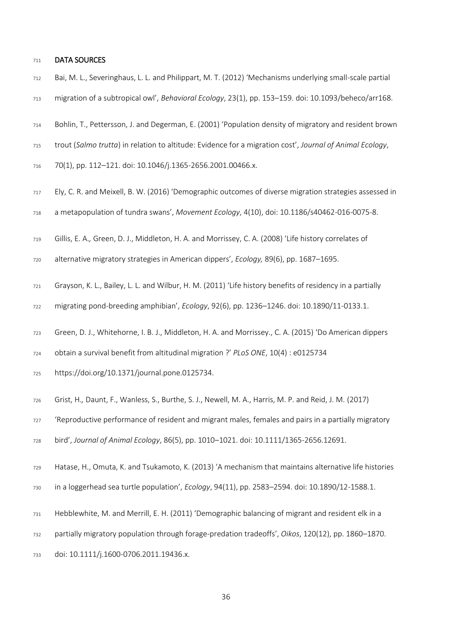#### DATA SOURCES

- Bai, M. L., Severinghaus, L. L. and Philippart, M. T. (2012) 'Mechanisms underlying small-scale partial migration of a subtropical owl', *Behavioral Ecology*, 23(1), pp. 153–159. doi: 10.1093/beheco/arr168.
- Bohlin, T., Pettersson, J. and Degerman, E. (2001) 'Population density of migratory and resident brown
- trout (*Salmo trutta*) in relation to altitude: Evidence for a migration cost', *Journal of Animal Ecology*,
- 70(1), pp. 112–121. doi: 10.1046/j.1365-2656.2001.00466.x.
- Ely, C. R. and Meixell, B. W. (2016) 'Demographic outcomes of diverse migration strategies assessed in
- a metapopulation of tundra swans', *Movement Ecology*, 4(10), doi: 10.1186/s40462-016-0075-8.
- Gillis, E. A.*,* Green, D. J., Middleton, H. A. and Morrissey, C. A. (2008) 'Life history correlates of
- alternative migratory strategies in American dippers', *Ecology,* 89(6), pp. 1687–1695.
- Grayson, K. L., Bailey, L. L. and Wilbur, H. M. (2011) 'Life history benefits of residency in a partially
- migrating pond-breeding amphibian', *Ecology*, 92(6), pp. 1236–1246. doi: 10.1890/11-0133.1.
- Green, D. J., Whitehorne, I. B. J., Middleton, H. A. and Morrissey., C. A. (2015) 'Do American dippers
- obtain a survival benefit from altitudinal migration ?' *PLoS ONE*, 10(4) : e0125734
- https://doi.org/10.1371/journal.pone.0125734.
- Grist, H.*,* Daunt, F., Wanless, S., Burthe, S. J., Newell, M. A., Harris, M. P. and Reid, J. M. (2017)

'Reproductive performance of resident and migrant males, females and pairs in a partially migratory

bird', *Journal of Animal Ecology*, 86(5), pp. 1010–1021. doi: 10.1111/1365-2656.12691.

- Hatase, H., Omuta, K. and Tsukamoto, K. (2013) 'A mechanism that maintains alternative life histories
- in a loggerhead sea turtle population', *Ecology*, 94(11), pp. 2583–2594. doi: 10.1890/12-1588.1.
- Hebblewhite, M. and Merrill, E. H. (2011) 'Demographic balancing of migrant and resident elk in a
- partially migratory population through forage-predation tradeoffs', *Oikos*, 120(12), pp. 1860–1870.
- doi: 10.1111/j.1600-0706.2011.19436.x.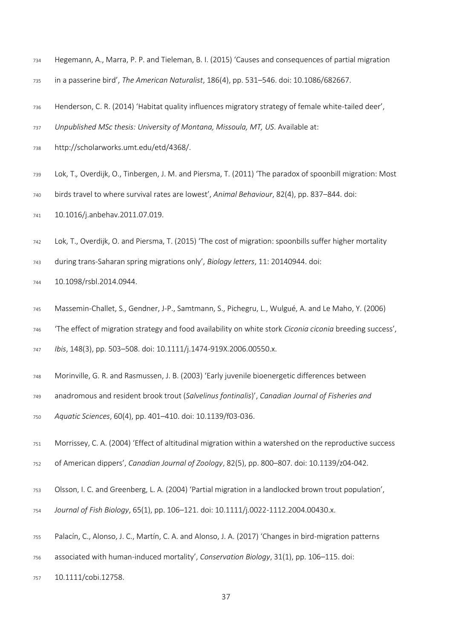- Hegemann, A., Marra, P. P. and Tieleman, B. I. (2015) 'Causes and consequences of partial migration
- in a passerine bird', *The American Naturalist*, 186(4), pp. 531–546. doi: 10.1086/682667.
- Henderson, C. R. (2014) 'Habitat quality influences migratory strategy of female white-tailed deer',
- *Unpublished MSc thesis: University of Montana, Missoula, MT, US*. Available at:
- http://scholarworks.umt.edu/etd/4368/.
- Lok, T.*,* Overdijk, O., Tinbergen, J. M. and Piersma, T. (2011) 'The paradox of spoonbill migration: Most
- birds travel to where survival rates are lowest', *Animal Behaviour*, 82(4), pp. 837–844. doi:
- 10.1016/j.anbehav.2011.07.019.
- Lok, T., Overdijk, O. and Piersma, T. (2015) 'The cost of migration: spoonbills suffer higher mortality
- during trans-Saharan spring migrations only', *Biology letters*, 11: 20140944. doi:
- 10.1098/rsbl.2014.0944.
- Massemin-Challet, S., Gendner, J-P., Samtmann, S., Pichegru, L., Wulgué, A. and Le Maho, Y. (2006)
- 'The effect of migration strategy and food availability on white stork *Ciconia ciconia* breeding success',
- *Ibis*, 148(3), pp. 503–508. doi: 10.1111/j.1474-919X.2006.00550.x.
- Morinville, G. R. and Rasmussen, J. B. (2003) 'Early juvenile bioenergetic differences between
- anadromous and resident brook trout (*Salvelinus fontinalis*)', *Canadian Journal of Fisheries and*
- *Aquatic Sciences*, 60(4), pp. 401–410. doi: 10.1139/f03-036.
- Morrissey, C. A. (2004) 'Effect of altitudinal migration within a watershed on the reproductive success
- of American dippers', *Canadian Journal of Zoology*, 82(5), pp. 800–807. doi: 10.1139/z04-042.
- Olsson, I. C. and Greenberg, L. A. (2004) 'Partial migration in a landlocked brown trout population',
- *Journal of Fish Biology*, 65(1), pp. 106–121. doi: 10.1111/j.0022-1112.2004.00430.x.
- Palacín, C., Alonso, J. C., Martín, C. A. and Alonso, J. A. (2017) 'Changes in bird-migration patterns
- associated with human-induced mortality', *Conservation Biology*, 31(1), pp. 106–115. doi:
- 10.1111/cobi.12758.